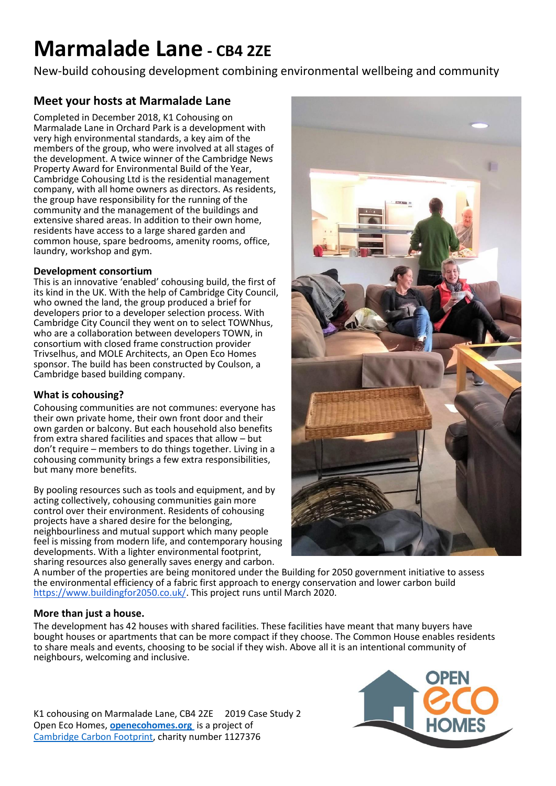# **Marmalade Lane - CB4 2ZE**

New-build cohousing development combining environmental wellbeing and community

## **Meet your hosts at Marmalade Lane**

Completed in December 2018, K1 Cohousing on Marmalade Lane in Orchard Park is a development with very high environmental standards, a key aim of the members of the group, who were involved at all stages of the development. A twice winner of the Cambridge News Property Award for Environmental Build of the Year, Cambridge Cohousing Ltd is the residential management company, with all home owners as directors. As residents, the group have responsibility for the running of the community and the management of the buildings and extensive shared areas. In addition to their own home, residents have access to a large shared garden and common house, spare bedrooms, amenity rooms, office, laundry, workshop and gym.

## **Development consortium**

This is an innovative 'enabled' cohousing build, the first of its kind in the UK. With the help of Cambridge City Council, who owned the land, the group produced a brief for developers prior to a developer selection process. With Cambridge City Council they went on to select TOWNhus, who are a collaboration between developers TOWN, in consortium with closed frame construction provider Trivselhus, and MOLE Architects, an Open Eco Homes sponsor. The build has been constructed by Coulson, a Cambridge based building company.

## **What is cohousing?**

Cohousing communities are not communes: everyone has their own private home, their own front door and their own garden or balcony. But each household also benefits from extra shared facilities and spaces that allow – but don't require – members to do things together. Living in a cohousing community brings a few extra responsibilities, but many more benefits.

By pooling resources such as tools and equipment, and by acting collectively, cohousing communities gain more control over their environment. Residents of cohousing projects have a shared desire for the belonging, neighbourliness and mutual support which many people feel is missing from modern life, and contemporary housing developments. With a lighter environmental footprint, sharing resources also generally saves energy and carbon.



A number of the properties are being monitored under the Building for 2050 government initiative to assess the environmental efficiency of a fabric first approach to energy conservation and lower carbon build [https://www.buildingfor2050.co.uk/.](https://www.buildingfor2050.co.uk/) This project runs until March 2020.

## **More than just a house.**

The development has 42 houses with shared facilities. These facilities have meant that many buyers have bought houses or apartments that can be more compact if they choose. The Common House enables residents to share meals and events, choosing to be social if they wish. Above all it is an intentional community of neighbours, welcoming and inclusive.

K1 cohousing on Marmalade Lane, CB4 2ZE 2019 Case Study 2 Open Eco Homes, **[openecohomes.org](http://www.openecohomes.org/)** is a project of [Cambridge Carbon Footprint,](http://cambridgecarbonfootprint.org/) charity number 1127376